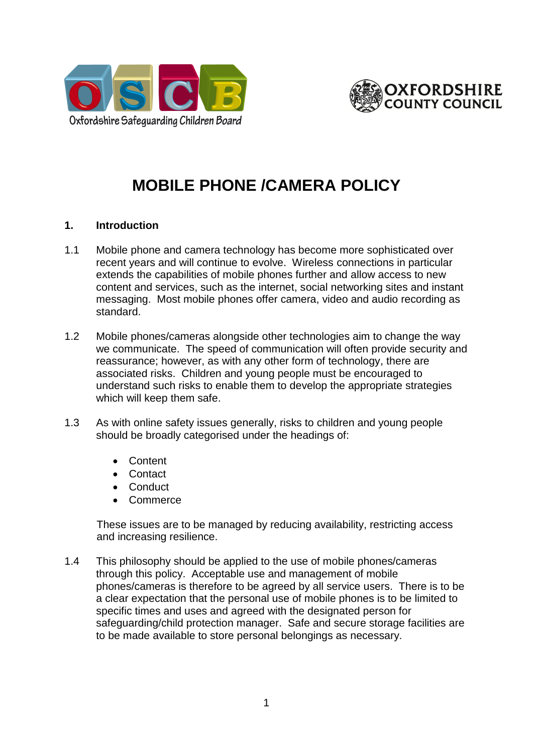



# **MOBILE PHONE /CAMERA POLICY**

#### **1. Introduction**

- 1.1 Mobile phone and camera technology has become more sophisticated over recent years and will continue to evolve. Wireless connections in particular extends the capabilities of mobile phones further and allow access to new content and services, such as the internet, social networking sites and instant messaging. Most mobile phones offer camera, video and audio recording as standard.
- 1.2 Mobile phones/cameras alongside other technologies aim to change the way we communicate. The speed of communication will often provide security and reassurance; however, as with any other form of technology, there are associated risks. Children and young people must be encouraged to understand such risks to enable them to develop the appropriate strategies which will keep them safe.
- 1.3 As with online safety issues generally, risks to children and young people should be broadly categorised under the headings of:
	- Content
	- **Contact**
	- Conduct
	- **Commerce**

These issues are to be managed by reducing availability, restricting access and increasing resilience.

1.4 This philosophy should be applied to the use of mobile phones/cameras through this policy. Acceptable use and management of mobile phones/cameras is therefore to be agreed by all service users. There is to be a clear expectation that the personal use of mobile phones is to be limited to specific times and uses and agreed with the designated person for safeguarding/child protection manager. Safe and secure storage facilities are to be made available to store personal belongings as necessary.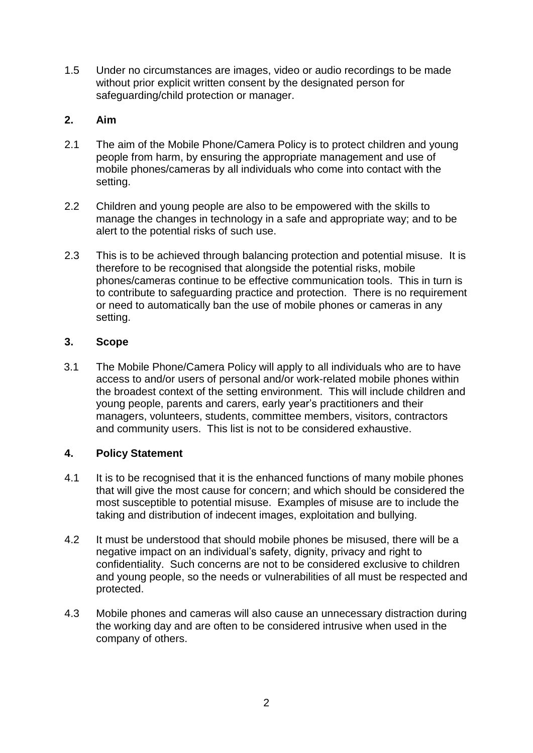1.5 Under no circumstances are images, video or audio recordings to be made without prior explicit written consent by the designated person for safeguarding/child protection or manager.

## **2. Aim**

- 2.1 The aim of the Mobile Phone/Camera Policy is to protect children and young people from harm, by ensuring the appropriate management and use of mobile phones/cameras by all individuals who come into contact with the setting.
- 2.2 Children and young people are also to be empowered with the skills to manage the changes in technology in a safe and appropriate way; and to be alert to the potential risks of such use.
- 2.3 This is to be achieved through balancing protection and potential misuse. It is therefore to be recognised that alongside the potential risks, mobile phones/cameras continue to be effective communication tools. This in turn is to contribute to safeguarding practice and protection. There is no requirement or need to automatically ban the use of mobile phones or cameras in any setting.

# **3. Scope**

3.1 The Mobile Phone/Camera Policy will apply to all individuals who are to have access to and/or users of personal and/or work-related mobile phones within the broadest context of the setting environment. This will include children and young people, parents and carers, early year's practitioners and their managers, volunteers, students, committee members, visitors, contractors and community users. This list is not to be considered exhaustive.

# **4. Policy Statement**

- 4.1 It is to be recognised that it is the enhanced functions of many mobile phones that will give the most cause for concern; and which should be considered the most susceptible to potential misuse. Examples of misuse are to include the taking and distribution of indecent images, exploitation and bullying.
- 4.2 It must be understood that should mobile phones be misused, there will be a negative impact on an individual's safety, dignity, privacy and right to confidentiality. Such concerns are not to be considered exclusive to children and young people, so the needs or vulnerabilities of all must be respected and protected.
- 4.3 Mobile phones and cameras will also cause an unnecessary distraction during the working day and are often to be considered intrusive when used in the company of others.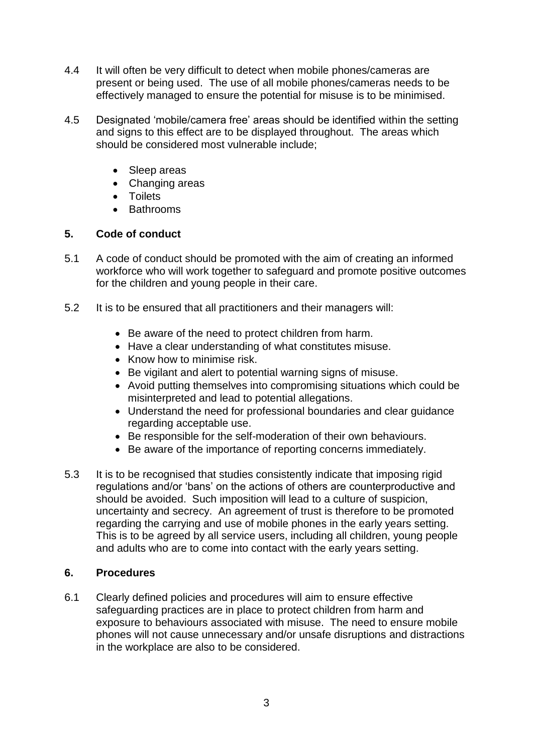- 4.4 It will often be very difficult to detect when mobile phones/cameras are present or being used. The use of all mobile phones/cameras needs to be effectively managed to ensure the potential for misuse is to be minimised.
- 4.5 Designated 'mobile/camera free' areas should be identified within the setting and signs to this effect are to be displayed throughout. The areas which should be considered most vulnerable include;
	- Sleep areas
	- Changing areas
	- **•** Toilets
	- Bathrooms

# **5. Code of conduct**

- 5.1 A code of conduct should be promoted with the aim of creating an informed workforce who will work together to safeguard and promote positive outcomes for the children and young people in their care.
- 5.2 It is to be ensured that all practitioners and their managers will:
	- Be aware of the need to protect children from harm.
	- Have a clear understanding of what constitutes misuse.
	- Know how to minimise risk.
	- Be vigilant and alert to potential warning signs of misuse.
	- Avoid putting themselves into compromising situations which could be misinterpreted and lead to potential allegations.
	- Understand the need for professional boundaries and clear guidance regarding acceptable use.
	- Be responsible for the self-moderation of their own behaviours.
	- Be aware of the importance of reporting concerns immediately.
- 5.3 It is to be recognised that studies consistently indicate that imposing rigid regulations and/or 'bans' on the actions of others are counterproductive and should be avoided. Such imposition will lead to a culture of suspicion, uncertainty and secrecy. An agreement of trust is therefore to be promoted regarding the carrying and use of mobile phones in the early years setting. This is to be agreed by all service users, including all children, young people and adults who are to come into contact with the early years setting.

## **6. Procedures**

6.1 Clearly defined policies and procedures will aim to ensure effective safeguarding practices are in place to protect children from harm and exposure to behaviours associated with misuse. The need to ensure mobile phones will not cause unnecessary and/or unsafe disruptions and distractions in the workplace are also to be considered.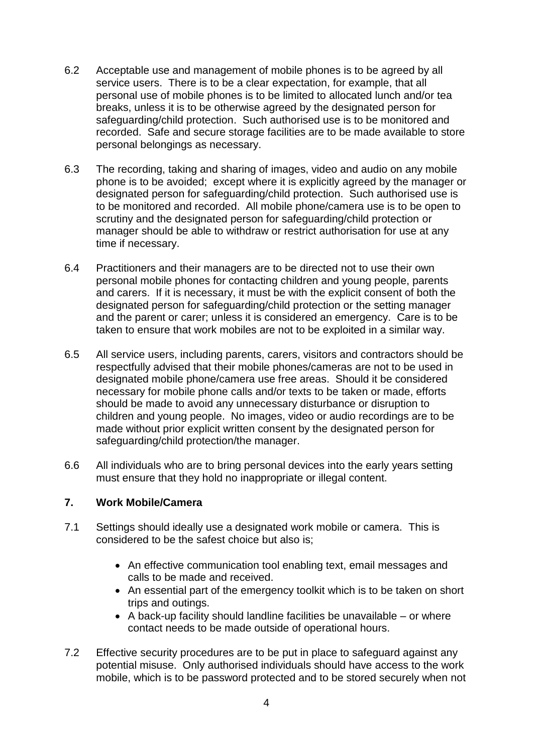- 6.2 Acceptable use and management of mobile phones is to be agreed by all service users. There is to be a clear expectation, for example, that all personal use of mobile phones is to be limited to allocated lunch and/or tea breaks, unless it is to be otherwise agreed by the designated person for safeguarding/child protection. Such authorised use is to be monitored and recorded. Safe and secure storage facilities are to be made available to store personal belongings as necessary.
- 6.3 The recording, taking and sharing of images, video and audio on any mobile phone is to be avoided; except where it is explicitly agreed by the manager or designated person for safeguarding/child protection. Such authorised use is to be monitored and recorded. All mobile phone/camera use is to be open to scrutiny and the designated person for safeguarding/child protection or manager should be able to withdraw or restrict authorisation for use at any time if necessary.
- 6.4 Practitioners and their managers are to be directed not to use their own personal mobile phones for contacting children and young people, parents and carers. If it is necessary, it must be with the explicit consent of both the designated person for safeguarding/child protection or the setting manager and the parent or carer; unless it is considered an emergency. Care is to be taken to ensure that work mobiles are not to be exploited in a similar way.
- 6.5 All service users, including parents, carers, visitors and contractors should be respectfully advised that their mobile phones/cameras are not to be used in designated mobile phone/camera use free areas. Should it be considered necessary for mobile phone calls and/or texts to be taken or made, efforts should be made to avoid any unnecessary disturbance or disruption to children and young people. No images, video or audio recordings are to be made without prior explicit written consent by the designated person for safeguarding/child protection/the manager.
- 6.6 All individuals who are to bring personal devices into the early years setting must ensure that they hold no inappropriate or illegal content.

#### **7. Work Mobile/Camera**

- 7.1 Settings should ideally use a designated work mobile or camera. This is considered to be the safest choice but also is;
	- An effective communication tool enabling text, email messages and calls to be made and received.
	- An essential part of the emergency toolkit which is to be taken on short trips and outings.
	- $\bullet$  A back-up facility should landline facilities be unavailable or where contact needs to be made outside of operational hours.
- 7.2 Effective security procedures are to be put in place to safeguard against any potential misuse. Only authorised individuals should have access to the work mobile, which is to be password protected and to be stored securely when not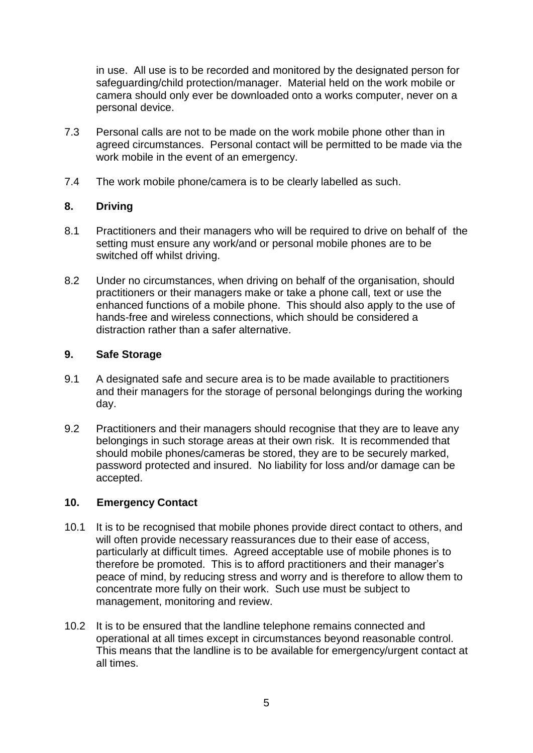in use. All use is to be recorded and monitored by the designated person for safeguarding/child protection/manager. Material held on the work mobile or camera should only ever be downloaded onto a works computer, never on a personal device.

- 7.3 Personal calls are not to be made on the work mobile phone other than in agreed circumstances. Personal contact will be permitted to be made via the work mobile in the event of an emergency.
- 7.4 The work mobile phone/camera is to be clearly labelled as such.

## **8. Driving**

- 8.1 Practitioners and their managers who will be required to drive on behalf of the setting must ensure any work/and or personal mobile phones are to be switched off whilst driving.
- 8.2 Under no circumstances, when driving on behalf of the organisation, should practitioners or their managers make or take a phone call, text or use the enhanced functions of a mobile phone. This should also apply to the use of hands-free and wireless connections, which should be considered a distraction rather than a safer alternative.

## **9. Safe Storage**

- 9.1 A designated safe and secure area is to be made available to practitioners and their managers for the storage of personal belongings during the working day.
- 9.2 Practitioners and their managers should recognise that they are to leave any belongings in such storage areas at their own risk. It is recommended that should mobile phones/cameras be stored, they are to be securely marked, password protected and insured. No liability for loss and/or damage can be accepted.

## **10. Emergency Contact**

- 10.1 It is to be recognised that mobile phones provide direct contact to others, and will often provide necessary reassurances due to their ease of access, particularly at difficult times. Agreed acceptable use of mobile phones is to therefore be promoted. This is to afford practitioners and their manager's peace of mind, by reducing stress and worry and is therefore to allow them to concentrate more fully on their work. Such use must be subject to management, monitoring and review.
- 10.2 It is to be ensured that the landline telephone remains connected and operational at all times except in circumstances beyond reasonable control. This means that the landline is to be available for emergency/urgent contact at all times.